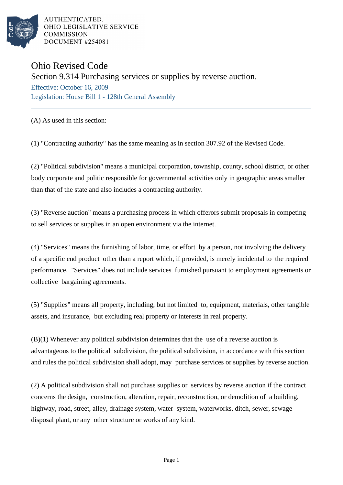

AUTHENTICATED. OHIO LEGISLATIVE SERVICE **COMMISSION DOCUMENT #254081** 

## Ohio Revised Code

Section 9.314 Purchasing services or supplies by reverse auction.

Effective: October 16, 2009 Legislation: House Bill 1 - 128th General Assembly

(A) As used in this section:

(1) "Contracting authority" has the same meaning as in section 307.92 of the Revised Code.

(2) "Political subdivision" means a municipal corporation, township, county, school district, or other body corporate and politic responsible for governmental activities only in geographic areas smaller than that of the state and also includes a contracting authority.

(3) "Reverse auction" means a purchasing process in which offerors submit proposals in competing to sell services or supplies in an open environment via the internet.

(4) "Services" means the furnishing of labor, time, or effort by a person, not involving the delivery of a specific end product other than a report which, if provided, is merely incidental to the required performance. "Services" does not include services furnished pursuant to employment agreements or collective bargaining agreements.

(5) "Supplies" means all property, including, but not limited to, equipment, materials, other tangible assets, and insurance, but excluding real property or interests in real property.

(B)(1) Whenever any political subdivision determines that the use of a reverse auction is advantageous to the political subdivision, the political subdivision, in accordance with this section and rules the political subdivision shall adopt, may purchase services or supplies by reverse auction.

(2) A political subdivision shall not purchase supplies or services by reverse auction if the contract concerns the design, construction, alteration, repair, reconstruction, or demolition of a building, highway, road, street, alley, drainage system, water system, waterworks, ditch, sewer, sewage disposal plant, or any other structure or works of any kind.